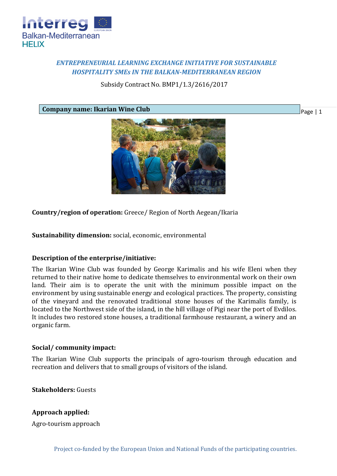

# *ENTREPRENEURIAL LEARNING EXCHANGE INITIATIVE FOR SUSTAINABLE HOSPITALITY SMEs IN THE BALKAN-MEDITERRANEAN REGION*

Subsidy Contract No. BMP1/1.3/2616/2017

**Company name: Ikarian Wine Club**



Page | 1

**Country/region of operation:** Greece/ Region of North Aegean/Ikaria

**Sustainability dimension:** social, economic, environmental

# **Description of the enterprise/initiative:**

The Ikarian Wine Club was founded by George Karimalis and his wife Eleni when they returned to their native home to dedicate themselves to environmental work on their own land. Their aim is to operate the unit with the minimum possible impact on the environment by using sustainable energy and ecological practices. The property, consisting of the vineyard and the renovated traditional stone houses of the Karimalis family, is located to the Northwest side of the island, in the hill village of Pigi near the port of Evdilos. It includes two restored stone houses, a traditional farmhouse restaurant, a winery and an organic farm.

# **Social/ community impact:**

The Ikarian Wine Club supports the principals of agro-tourism through education and recreation and delivers that to small groups of visitors of the island.

**Stakeholders:** Guests

# **Approach applied:**

Agro-tourism approach